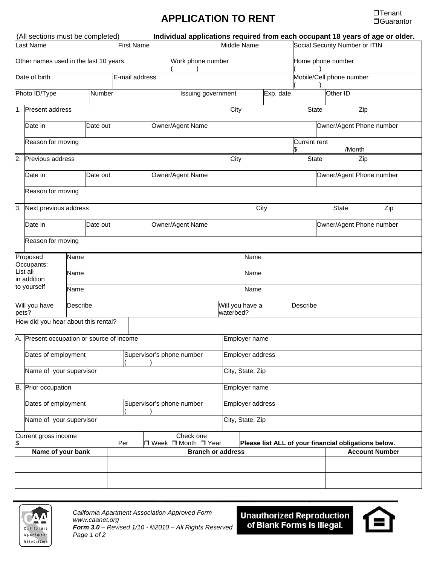## **APPLICATION TO RENT DUGUARD APPLICATION TO RENT**

|                                                            | (All sections must be completed)          |          |  |                                    |                           |                   |                                                      |                  |               |                                          |                                |                          |              | Individual applications required from each occupant 18 years of age or older. |
|------------------------------------------------------------|-------------------------------------------|----------|--|------------------------------------|---------------------------|-------------------|------------------------------------------------------|------------------|---------------|------------------------------------------|--------------------------------|--------------------------|--------------|-------------------------------------------------------------------------------|
| <b>Last Name</b>                                           |                                           |          |  |                                    | <b>First Name</b>         |                   |                                                      | Middle Name      |               |                                          | Social Security Number or ITIN |                          |              |                                                                               |
| Other names used in the last 10 years                      |                                           |          |  |                                    |                           | Work phone number |                                                      |                  |               | Home phone number                        |                                |                          |              |                                                                               |
| E-mail address<br>Date of birth<br>Photo ID/Type<br>Number |                                           |          |  |                                    |                           |                   |                                                      |                  |               |                                          | Mobile/Cell phone number       |                          |              |                                                                               |
|                                                            |                                           |          |  |                                    |                           |                   | <b>Issuing government</b>                            |                  |               | Exp. date                                |                                |                          | Other ID     |                                                                               |
| $\mathbf 1$ .                                              | Present address                           |          |  |                                    |                           |                   |                                                      | City             |               |                                          | <b>State</b>                   |                          | Zip          |                                                                               |
|                                                            | Date in                                   | Date out |  |                                    |                           | Owner/Agent Name  |                                                      |                  |               |                                          |                                | Owner/Agent Phone number |              |                                                                               |
|                                                            | Reason for moving                         |          |  |                                    |                           |                   |                                                      |                  |               |                                          | <b>Current rent</b><br>\$      |                          | /Month       |                                                                               |
| $\overline{2}$ .                                           | Previous address                          |          |  |                                    | City                      |                   |                                                      |                  |               |                                          | Zip<br><b>State</b>            |                          |              |                                                                               |
|                                                            | Date in                                   | Date out |  |                                    |                           | Owner/Agent Name  |                                                      |                  |               | Owner/Agent Phone number                 |                                |                          |              |                                                                               |
|                                                            | Reason for moving                         |          |  |                                    |                           |                   |                                                      |                  |               |                                          |                                |                          |              |                                                                               |
| 3.                                                         | Next previous address                     |          |  |                                    |                           |                   | City                                                 |                  |               |                                          |                                |                          | <b>State</b> | Zip                                                                           |
|                                                            | Date in                                   | Date out |  |                                    |                           | Owner/Agent Name  |                                                      |                  |               |                                          |                                | Owner/Agent Phone number |              |                                                                               |
|                                                            | Reason for moving                         |          |  |                                    |                           |                   |                                                      |                  |               |                                          |                                |                          |              |                                                                               |
| Proposed<br>Name<br>Occupants:                             |                                           |          |  |                                    |                           |                   |                                                      |                  | Name          |                                          |                                |                          |              |                                                                               |
| List all<br>in addition                                    |                                           | Name     |  |                                    |                           |                   | Name                                                 |                  |               |                                          |                                |                          |              |                                                                               |
|                                                            | to yourself                               | Name     |  |                                    |                           |                   | Name                                                 |                  |               |                                          |                                |                          |              |                                                                               |
| Will you have<br>pets?                                     |                                           | Describe |  |                                    |                           |                   |                                                      |                  |               | Will you have a<br>Describe<br>waterbed? |                                |                          |              |                                                                               |
|                                                            | How did you hear about this rental?       |          |  |                                    |                           |                   |                                                      |                  |               |                                          |                                |                          |              |                                                                               |
|                                                            | A. Present occupation or source of income |          |  |                                    |                           |                   |                                                      | Employer name    |               |                                          |                                |                          |              |                                                                               |
|                                                            | Dates of employment                       |          |  |                                    |                           |                   | Supervisor's phone number                            |                  |               | Employer address                         |                                |                          |              |                                                                               |
|                                                            | Name of your supervisor                   |          |  |                                    |                           |                   |                                                      | City, State, Zip |               |                                          |                                |                          |              |                                                                               |
|                                                            | B. Prior occupation                       |          |  |                                    |                           |                   |                                                      |                  | Employer name |                                          |                                |                          |              |                                                                               |
|                                                            | Dates of employment                       |          |  |                                    | Supervisor's phone number |                   |                                                      | Employer address |               |                                          |                                |                          |              |                                                                               |
|                                                            | Name of your supervisor                   |          |  |                                    | City, State, Zip          |                   |                                                      |                  |               |                                          |                                |                          |              |                                                                               |
| Current gross income<br>\$<br>Per                          |                                           |          |  | Check one<br>□ Week □ Month □ Year |                           |                   | Please list ALL of your financial obligations below. |                  |               |                                          |                                |                          |              |                                                                               |
| Name of your bank                                          |                                           |          |  |                                    |                           |                   | <b>Branch or address</b>                             |                  |               |                                          |                                | <b>Account Number</b>    |              |                                                                               |
|                                                            |                                           |          |  |                                    |                           |                   |                                                      |                  |               |                                          |                                |                          |              |                                                                               |
|                                                            |                                           |          |  |                                    |                           |                   |                                                      |                  |               |                                          |                                |                          |              |                                                                               |



Unauthorized Reproduction<br>| of Blank Forms is Illegal.